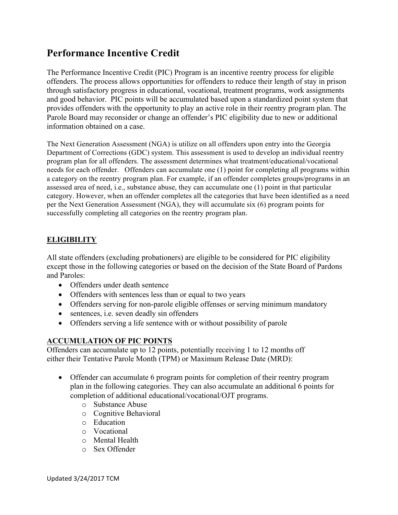## **Performance Incentive Credit**

The Performance Incentive Credit (PIC) Program is an incentive reentry process for eligible offenders. The process allows opportunities for offenders to reduce their length of stay in prison through satisfactory progress in educational, vocational, treatment programs, work assignments and good behavior. PIC points will be accumulated based upon a standardized point system that provides offenders with the opportunity to play an active role in their reentry program plan. The Parole Board may reconsider or change an offender's PIC eligibility due to new or additional information obtained on a case.

The Next Generation Assessment (NGA) is utilize on all offenders upon entry into the Georgia Department of Corrections (GDC) system. This assessment is used to develop an individual reentry program plan for all offenders. The assessment determines what treatment/educational/vocational needs for each offender. Offenders can accumulate one (1) point for completing all programs within a category on the reentry program plan. For example, if an offender completes groups/programs in an assessed area of need, i.e., substance abuse, they can accumulate one (1) point in that particular category. However, when an offender completes all the categories that have been identified as a need per the Next Generation Assessment (NGA), they will accumulate six (6) program points for successfully completing all categories on the reentry program plan.

## **ELIGIBILITY**

All state offenders (excluding probationers) are eligible to be considered for PIC eligibility except those in the following categories or based on the decision of the State Board of Pardons and Paroles:

- Offenders under death sentence
- Offenders with sentences less than or equal to two years
- Offenders serving for non-parole eligible offenses or serving minimum mandatory
- sentences, i.e. seven deadly sin offenders
- Offenders serving a life sentence with or without possibility of parole

## **ACCUMULATION OF PIC POINTS**

Offenders can accumulate up to 12 points, potentially receiving 1 to 12 months off either their Tentative Parole Month (TPM) or Maximum Release Date (MRD):

- Offender can accumulate 6 program points for completion of their reentry program plan in the following categories. They can also accumulate an additional 6 points for completion of additional educational/vocational/OJT programs.
	- o Substance Abuse
	- o Cognitive Behavioral
	- o Education
	- o Vocational
	- o Mental Health
	- o Sex Offender